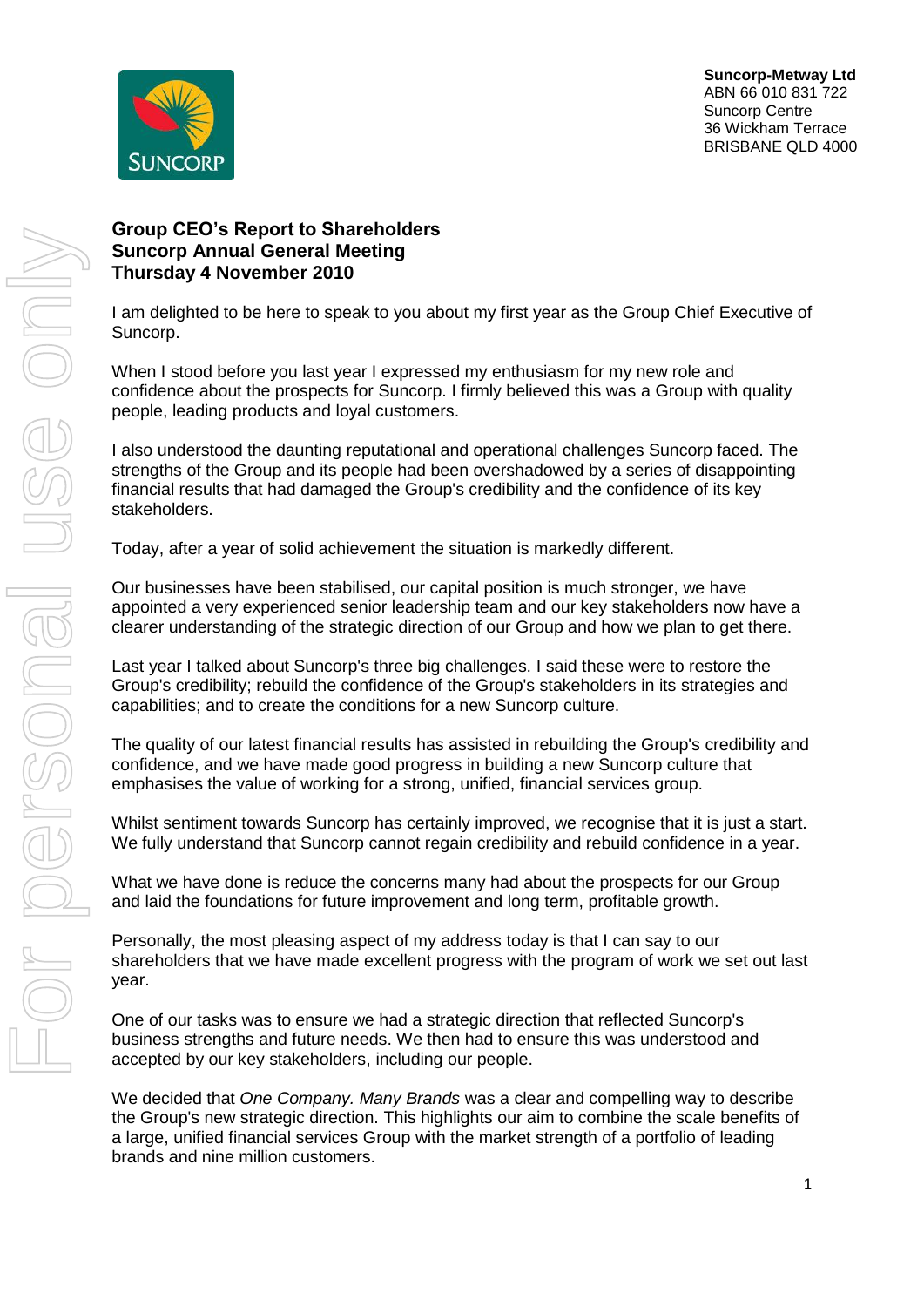

## **Group CEO's Report to Shareholders Suncorp Annual General Meeting Thursday 4 November 2010**

I am delighted to be here to speak to you about my first year as the Group Chief Executive of Suncorp.

When I stood before you last year I expressed my enthusiasm for my new role and confidence about the prospects for Suncorp. I firmly believed this was a Group with quality people, leading products and loyal customers.

I also understood the daunting reputational and operational challenges Suncorp faced. The strengths of the Group and its people had been overshadowed by a series of disappointing financial results that had damaged the Group's credibility and the confidence of its key stakeholders.

Today, after a year of solid achievement the situation is markedly different.

Our businesses have been stabilised, our capital position is much stronger, we have appointed a very experienced senior leadership team and our key stakeholders now have a clearer understanding of the strategic direction of our Group and how we plan to get there.

Last year I talked about Suncorp's three big challenges. I said these were to restore the Group's credibility; rebuild the confidence of the Group's stakeholders in its strategies and capabilities; and to create the conditions for a new Suncorp culture.

The quality of our latest financial results has assisted in rebuilding the Group's credibility and confidence, and we have made good progress in building a new Suncorp culture that emphasises the value of working for a strong, unified, financial services group.

Whilst sentiment towards Suncorp has certainly improved, we recognise that it is just a start. We fully understand that Suncorp cannot regain credibility and rebuild confidence in a year.

What we have done is reduce the concerns many had about the prospects for our Group and laid the foundations for future improvement and long term, profitable growth.

Personally, the most pleasing aspect of my address today is that I can say to our shareholders that we have made excellent progress with the program of work we set out last year.

One of our tasks was to ensure we had a strategic direction that reflected Suncorp's business strengths and future needs. We then had to ensure this was understood and accepted by our key stakeholders, including our people.

We decided that *One Company. Many Brands* was a clear and compelling way to describe the Group's new strategic direction. This highlights our aim to combine the scale benefits of a large, unified financial services Group with the market strength of a portfolio of leading brands and nine million customers.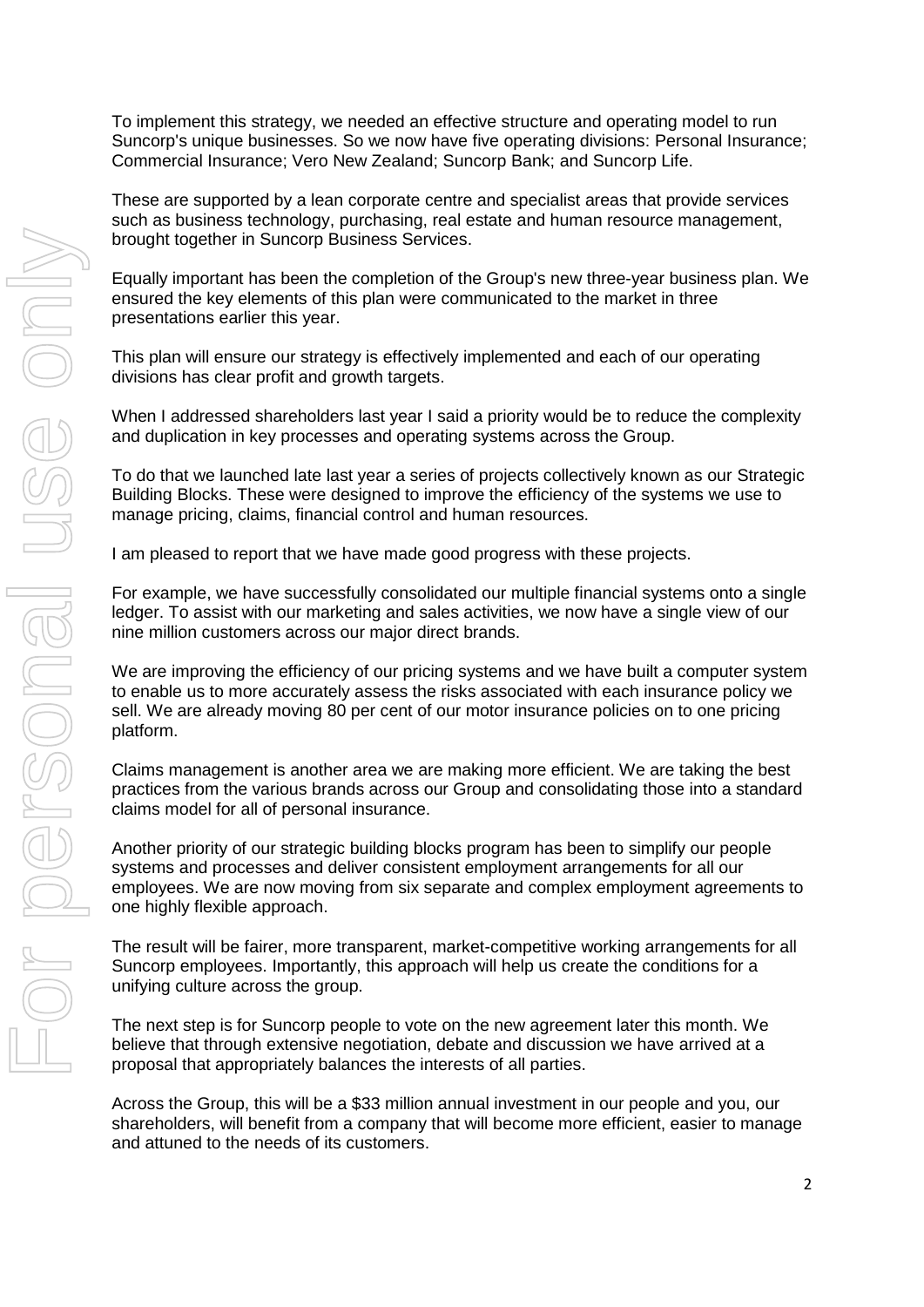To implement this strategy, we needed an effective structure and operating model to run Suncorp's unique businesses. So we now have five operating divisions: Personal Insurance; Commercial Insurance; Vero New Zealand; Suncorp Bank; and Suncorp Life.

These are supported by a lean corporate centre and specialist areas that provide services such as business technology, purchasing, real estate and human resource management, brought together in Suncorp Business Services.

Equally important has been the completion of the Group's new three-year business plan. We ensured the key elements of this plan were communicated to the market in three presentations earlier this year.

This plan will ensure our strategy is effectively implemented and each of our operating divisions has clear profit and growth targets.

When I addressed shareholders last year I said a priority would be to reduce the complexity and duplication in key processes and operating systems across the Group.

To do that we launched late last year a series of projects collectively known as our Strategic Building Blocks. These were designed to improve the efficiency of the systems we use to manage pricing, claims, financial control and human resources.

I am pleased to report that we have made good progress with these projects.

For example, we have successfully consolidated our multiple financial systems onto a single ledger. To assist with our marketing and sales activities, we now have a single view of our nine million customers across our major direct brands.

We are improving the efficiency of our pricing systems and we have built a computer system to enable us to more accurately assess the risks associated with each insurance policy we sell. We are already moving 80 per cent of our motor insurance policies on to one pricing platform.

Claims management is another area we are making more efficient. We are taking the best practices from the various brands across our Group and consolidating those into a standard claims model for all of personal insurance.

Another priority of our strategic building blocks program has been to simplify our people systems and processes and deliver consistent employment arrangements for all our employees. We are now moving from six separate and complex employment agreements to one highly flexible approach.

The result will be fairer, more transparent, market-competitive working arrangements for all Suncorp employees. Importantly, this approach will help us create the conditions for a unifying culture across the group.

The next step is for Suncorp people to vote on the new agreement later this month. We believe that through extensive negotiation, debate and discussion we have arrived at a proposal that appropriately balances the interests of all parties.

Across the Group, this will be a \$33 million annual investment in our people and you, our shareholders, will benefit from a company that will become more efficient, easier to manage and attuned to the needs of its customers.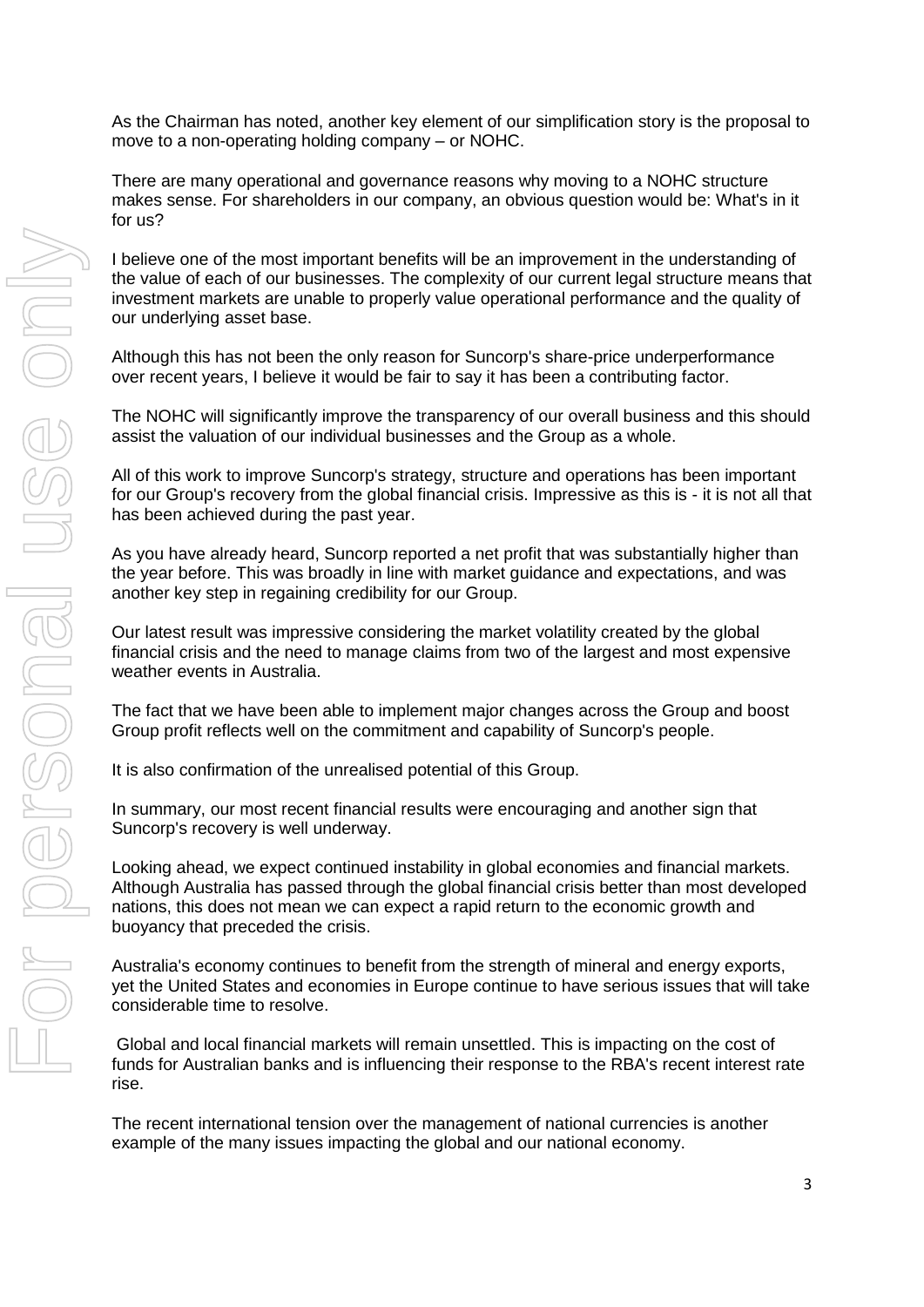As the Chairman has noted, another key element of our simplification story is the proposal to move to a non-operating holding company – or NOHC.

There are many operational and governance reasons why moving to a NOHC structure makes sense. For shareholders in our company, an obvious question would be: What's in it for us?

I believe one of the most important benefits will be an improvement in the understanding of the value of each of our businesses. The complexity of our current legal structure means that investment markets are unable to properly value operational performance and the quality of our underlying asset base.

Although this has not been the only reason for Suncorp's share-price underperformance over recent years, I believe it would be fair to say it has been a contributing factor.

The NOHC will significantly improve the transparency of our overall business and this should assist the valuation of our individual businesses and the Group as a whole.

All of this work to improve Suncorp's strategy, structure and operations has been important for our Group's recovery from the global financial crisis. Impressive as this is - it is not all that has been achieved during the past year.

As you have already heard, Suncorp reported a net profit that was substantially higher than the year before. This was broadly in line with market guidance and expectations, and was another key step in regaining credibility for our Group.

Our latest result was impressive considering the market volatility created by the global financial crisis and the need to manage claims from two of the largest and most expensive weather events in Australia.

The fact that we have been able to implement major changes across the Group and boost Group profit reflects well on the commitment and capability of Suncorp's people.

It is also confirmation of the unrealised potential of this Group.

In summary, our most recent financial results were encouraging and another sign that Suncorp's recovery is well underway.

Looking ahead, we expect continued instability in global economies and financial markets. Although Australia has passed through the global financial crisis better than most developed nations, this does not mean we can expect a rapid return to the economic growth and buoyancy that preceded the crisis.

Australia's economy continues to benefit from the strength of mineral and energy exports, yet the United States and economies in Europe continue to have serious issues that will take considerable time to resolve.

Global and local financial markets will remain unsettled. This is impacting on the cost of funds for Australian banks and is influencing their response to the RBA's recent interest rate rise.

The recent international tension over the management of national currencies is another example of the many issues impacting the global and our national economy.